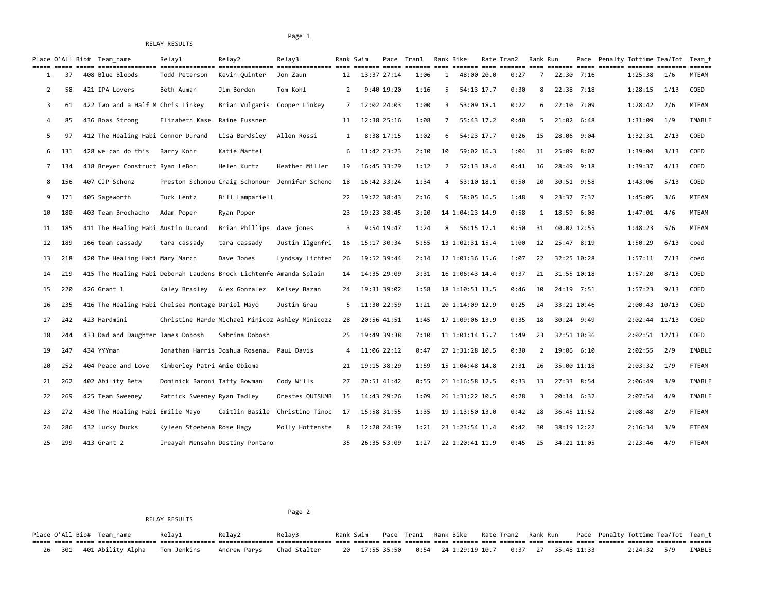RELAY RESULTS

## Page 1

|                |     | Place O'All Bib# Team name                                         | Relay1                         | Relay2                                          | Relay3                         |    | Rank Swim<br>$=$ ======= $=$ ===== | Pace Tran1     | ======= ==== | Rank Bike      |                 | Rate Tran2 | Rank Run |             |      | Pace Penalty Tottime Tea/Tot Team t |                   | $\begin{array}{cccccccccc} \multicolumn{2}{c}{} & \multicolumn{2}{c}{} & \multicolumn{2}{c}{} & \multicolumn{2}{c}{} & \multicolumn{2}{c}{} & \multicolumn{2}{c}{} & \multicolumn{2}{c}{} & \multicolumn{2}{c}{} & \multicolumn{2}{c}{} & \multicolumn{2}{c}{} & \multicolumn{2}{c}{} & \multicolumn{2}{c}{} & \multicolumn{2}{c}{} & \multicolumn{2}{c}{} & \multicolumn{2}{c}{} & \multicolumn{2}{c}{} & \multicolumn{2}{c}{} & \multicolumn{2}{c}{} & \multicolumn{2}{c}{} & \mult$ | $=$ $=$ $=$ $=$ $=$ $=$ |
|----------------|-----|--------------------------------------------------------------------|--------------------------------|-------------------------------------------------|--------------------------------|----|------------------------------------|----------------|--------------|----------------|-----------------|------------|----------|-------------|------|-------------------------------------|-------------------|----------------------------------------------------------------------------------------------------------------------------------------------------------------------------------------------------------------------------------------------------------------------------------------------------------------------------------------------------------------------------------------------------------------------------------------------------------------------------------------|-------------------------|
|                | 37  | 408 Blue Bloods                                                    | Todd Peterson                  | Kevin Quinter                                   | Jon Zaun                       | 12 | 13:37 27:14                        |                | 1:06         | 1              | 48:00 20.0      | 0:27       | 7        | 22:30 7:16  |      |                                     | 1:25:38           | 1/6                                                                                                                                                                                                                                                                                                                                                                                                                                                                                    | MTEAM                   |
| $\overline{2}$ | 58  | 421 IPA Lovers                                                     | Beth Auman                     | Jim Borden                                      | Tom Kohl                       | 2  |                                    | $9:40$ $19:20$ | 1:16         | 5              | 54:13 17.7      | 0:30       | 8        | 22:38       | 7:18 |                                     | 1:28:15           | 1/13                                                                                                                                                                                                                                                                                                                                                                                                                                                                                   | COED                    |
| 3              | 61  | 422 Two and a Half M Chris Linkey                                  |                                | Brian Vulgaris                                  | Cooper Linkey                  | 7  | 12:02 24:03                        |                | 1:00         | 3              | 53:09 18.1      | 0:22       | 6        | 22:10 7:09  |      |                                     | 1:28:42           | 2/6                                                                                                                                                                                                                                                                                                                                                                                                                                                                                    | MTEAM                   |
| 4              | 85  | 436 Boas Strong                                                    | Elizabeth Kase                 | Raine Fussner                                   |                                | 11 |                                    | 12:38 25:16    | 1:08         | 7              | 55:43 17.2      | 0:40       | 5        | 21:02 6:48  |      |                                     | 1:31:09           | 1/9                                                                                                                                                                                                                                                                                                                                                                                                                                                                                    | IMABLE                  |
| 5              | 97  | 412 The Healing Habi Connor Durand                                 |                                | Lisa Bardsley                                   | Allen Rossi                    | 1  |                                    | 8:38 17:15     | 1:02         | 6              | 54:23 17.7      | 0:26       | 15       | 28:06 9:04  |      |                                     | 1:32:31           | 2/13                                                                                                                                                                                                                                                                                                                                                                                                                                                                                   | COED                    |
| 6              | 131 | 428 we can do this                                                 | Barry Kohr                     | Katie Martel                                    |                                | 6  | 11:42 23:23                        |                | 2:10         | 10             | 59:02 16.3      | 1:04       | 11       | 25:09 8:07  |      |                                     | 1:39:04           | 3/13                                                                                                                                                                                                                                                                                                                                                                                                                                                                                   | COED                    |
| $\overline{7}$ | 134 | 418 Breyer Construct Ryan LeBon                                    |                                | Helen Kurtz                                     | Heather Miller                 | 19 | 16:45 33:29                        |                | 1:12         | $\overline{2}$ | 52:13 18.4      | 0:41       | 16       | 28:49 9:18  |      |                                     | 1:39:37           | 4/13                                                                                                                                                                                                                                                                                                                                                                                                                                                                                   | COED                    |
| 8              | 156 | 407 CJP Schonz                                                     |                                | Preston Schonou Craig Schonour                  | Jennifer Schono                | 18 |                                    | 16:42 33:24    | 1:34         | 4              | 53:10 18.1      | 0:50       | 20       | 30:51 9:58  |      |                                     | 1:43:06           | 5/13                                                                                                                                                                                                                                                                                                                                                                                                                                                                                   | COED                    |
| 9              | 171 | 405 Sageworth                                                      | Tuck Lentz                     | Bill Lampariell                                 |                                | 22 |                                    | 19:22 38:43    | 2:16         | 9              | 58:05 16.5      | 1:48       | 9        | 23:37 7:37  |      |                                     | 1:45:05           | 3/6                                                                                                                                                                                                                                                                                                                                                                                                                                                                                    | MTEAM                   |
| 10             | 180 | 403 Team Brochacho                                                 | Adam Poper                     | Ryan Poper                                      |                                | 23 |                                    | 19:23 38:45    | 3:20         |                | 14 1:04:23 14.9 | 0:58       | 1        | 18:59 6:08  |      |                                     | 1:47:01           | 4/6                                                                                                                                                                                                                                                                                                                                                                                                                                                                                    | <b>MTEAM</b>            |
| 11             | 185 | 411 The Healing Habi Austin Durand                                 |                                | Brian Phillips                                  | dave jones                     | 3  |                                    | 9:54 19:47     | 1:24         | 8              | 56:15 17.1      | 0:50       | 31       | 40:02 12:55 |      |                                     | 1:48:23           | 5/6                                                                                                                                                                                                                                                                                                                                                                                                                                                                                    | <b>MTEAM</b>            |
| 12             | 189 | 166 team cassady                                                   | tara cassady                   | tara cassady                                    | Justin Ilgenfri                | 16 | 15:17 30:34                        |                | 5:55         |                | 13 1:02:31 15.4 | 1:00       | 12       | 25:47 8:19  |      |                                     | 1:50:29           | 6/13                                                                                                                                                                                                                                                                                                                                                                                                                                                                                   | coed                    |
| 13             | 218 | 420 The Healing Habi Mary March                                    |                                | Dave Jones                                      | Lyndsay Lichten                | 26 | 19:52 39:44                        |                | 2:14         |                | 12 1:01:36 15.6 | 1:07       | 22       | 32:25 10:28 |      |                                     | 1:57:11           | 7/13                                                                                                                                                                                                                                                                                                                                                                                                                                                                                   | coed                    |
| 14             | 219 | 415 The Healing Habi Deborah Laudens Brock Lichtenfe Amanda Splain |                                |                                                 |                                | 14 | 14:35 29:09                        |                | 3:31         |                | 16 1:06:43 14.4 | 0:37       | 21       | 31:55 10:18 |      |                                     | 1:57:20           | 8/13                                                                                                                                                                                                                                                                                                                                                                                                                                                                                   | COED                    |
| 15             | 220 | 426 Grant 1                                                        | Kaley Bradley                  | Alex Gonzalez                                   | Kelsey Bazan                   | 24 |                                    | 19:31 39:02    | 1:58         |                | 18 1:10:51 13.5 | 0:46       | 10       | 24:19 7:51  |      |                                     | 1:57:23           | 9/13                                                                                                                                                                                                                                                                                                                                                                                                                                                                                   | COED                    |
| 16             | 235 | 416 The Healing Habi Chelsea Montage Daniel Mayo                   |                                |                                                 | Justin Grau                    | 5  | 11:30 22:59                        |                | 1:21         |                | 20 1:14:09 12.9 | 0:25       | 24       | 33:21 10:46 |      |                                     | 2:00:43           | 10/13                                                                                                                                                                                                                                                                                                                                                                                                                                                                                  | COED                    |
| 17             | 242 | 423 Hardmini                                                       |                                | Christine Harde Michael Minicoz Ashley Minicozz |                                | 28 |                                    | 20:56 41:51    | 1:45         |                | 17 1:09:06 13.9 | 0:35       | 18       | 30:24 9:49  |      |                                     | $2:02:44$ 11/13   |                                                                                                                                                                                                                                                                                                                                                                                                                                                                                        | COED                    |
| 18             | 244 | 433 Dad and Daughter James Dobosh                                  |                                | Sabrina Dobosh                                  |                                | 25 | 19:49 39:38                        |                | 7:10         |                | 11 1:01:14 15.7 | 1:49       | 23       | 32:51 10:36 |      |                                     | $2:02:51$ $12/13$ |                                                                                                                                                                                                                                                                                                                                                                                                                                                                                        | COED                    |
| 19             | 247 | 434 YYYman                                                         | Jonathan Harris Joshua Rosenau |                                                 | Paul Davis                     | 4  |                                    | 11:06 22:12    | 0:47         |                | 27 1:31:28 10.5 | 0:30       | 2        | 19:06 6:10  |      |                                     | 2:02:55           | 2/9                                                                                                                                                                                                                                                                                                                                                                                                                                                                                    | IMABLE                  |
| 20             | 252 | 404 Peace and Love                                                 | Kimberley Patri Amie Obioma    |                                                 |                                | 21 |                                    | 19:15 38:29    | 1:59         |                | 15 1:04:48 14.8 | 2:31       | 26       | 35:00 11:18 |      |                                     | 2:03:32           | 1/9                                                                                                                                                                                                                                                                                                                                                                                                                                                                                    | <b>FTEAM</b>            |
| 21             | 262 | 402 Ability Beta                                                   | Dominick Baroni Taffy Bowman   |                                                 | Cody Wills                     | 27 |                                    | 20:51 41:42    | 0:55         |                | 21 1:16:58 12.5 | 0:33       | 13       | 27:33 8:54  |      |                                     | 2:06:49           | 3/9                                                                                                                                                                                                                                                                                                                                                                                                                                                                                    | IMABLE                  |
| 22             | 269 | 425 Team Sweeney                                                   | Patrick Sweeney Ryan Tadley    |                                                 | Orestes QUISUMB                | 15 |                                    | 14:43 29:26    | 1:09         |                | 26 1:31:22 10.5 | 0:28       | 3        | 20:14 6:32  |      |                                     | 2:07:54           | 4/9                                                                                                                                                                                                                                                                                                                                                                                                                                                                                    | IMABLE                  |
| 23             | 272 | 430 The Healing Habi Emilie Mayo                                   |                                |                                                 | Caitlin Basile Christino Tinoc | 17 |                                    | 15:58 31:55    | 1:35         |                | 19 1:13:50 13.0 | 0:42       | 28       | 36:45 11:52 |      |                                     | 2:08:48           | 2/9                                                                                                                                                                                                                                                                                                                                                                                                                                                                                    | <b>FTEAM</b>            |
| 24             | 286 | 432 Lucky Ducks                                                    | Kyleen Stoebena Rose Hagy      |                                                 | Molly Hottenste                | 8  | 12:20 24:39                        |                | 1:21         |                | 23 1:23:54 11.4 | 0:42       | 30       | 38:19 12:22 |      |                                     | 2:16:34           | 3/9                                                                                                                                                                                                                                                                                                                                                                                                                                                                                    | FTEAM                   |
| 25             | 299 | 413 Grant 2                                                        |                                | Ireayah Mensahn Destiny Pontano                 |                                | 35 |                                    | 26:35 53:09    | 1:27         |                | 22 1:20:41 11.9 | 0:45       | 25       | 34:21 11:05 |      |                                     | 2:23:46           | 4/9                                                                                                                                                                                                                                                                                                                                                                                                                                                                                    | FTEAM                   |

Page 2

RELAY RESULTS

Place O'All Bib# Team\_name Relay1 Relay2 Relay3 Rank Swim Pace Tran1 Rank Bike Rate Tran2 Rank Run Pace Penalty Tottime Tea/Tot Team\_t ===== ===== ===== ================ =============== =============== =============== ==== ======= ===== ======= ==== ======= ==== ======= ==== ======= ===== ======= ======= ======== ====== 26 301 401 Ability Alpha Tom Jenkins Andrew Parys Chad Stalter 20 17:55 35:50 0:54 24 1:29:19 10.7 0:37 27 35:48 11:33 2:24:32 5/9 IMABLE